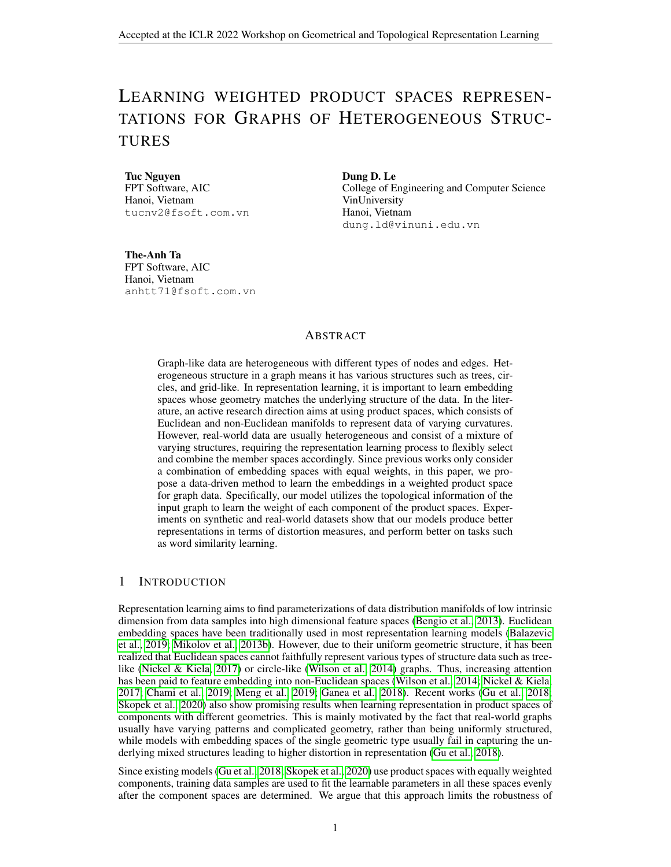# LEARNING WEIGHTED PRODUCT SPACES REPRESEN-TATIONS FOR GRAPHS OF HETEROGENEOUS STRUC-TURES

Tuc Nguyen FPT Software, AIC Hanoi, Vietnam tucnv2@fsoft.com.vn Dung D. Le College of Engineering and Computer Science VinUniversity Hanoi, Vietnam dung.ld@vinuni.edu.vn

The-Anh Ta FPT Software, AIC Hanoi, Vietnam anhtt71@fsoft.com.vn

## ABSTRACT

Graph-like data are heterogeneous with different types of nodes and edges. Heterogeneous structure in a graph means it has various structures such as trees, circles, and grid-like. In representation learning, it is important to learn embedding spaces whose geometry matches the underlying structure of the data. In the literature, an active research direction aims at using product spaces, which consists of Euclidean and non-Euclidean manifolds to represent data of varying curvatures. However, real-world data are usually heterogeneous and consist of a mixture of varying structures, requiring the representation learning process to flexibly select and combine the member spaces accordingly. Since previous works only consider a combination of embedding spaces with equal weights, in this paper, we propose a data-driven method to learn the embeddings in a weighted product space for graph data. Specifically, our model utilizes the topological information of the input graph to learn the weight of each component of the product spaces. Experiments on synthetic and real-world datasets show that our models produce better representations in terms of distortion measures, and perform better on tasks such as word similarity learning.

## 1 INTRODUCTION

Representation learning aims to find parameterizations of data distribution manifolds of low intrinsic dimension from data samples into high dimensional feature spaces [\(Bengio et al., 2013\)](#page-4-0). Euclidean embedding spaces have been traditionally used in most representation learning models [\(Balazevic](#page-4-1) [et al., 2019;](#page-4-1) [Mikolov et al., 2013b\)](#page-5-0). However, due to their uniform geometric structure, it has been realized that Euclidean spaces cannot faithfully represent various types of structure data such as tree-like [\(Nickel & Kiela, 2017\)](#page-5-1) or circle-like [\(Wilson et al., 2014\)](#page-5-2) graphs. Thus, increasing attention has been paid to feature embedding into non-Euclidean spaces [\(Wilson et al., 2014;](#page-5-2) [Nickel & Kiela,](#page-5-1) [2017;](#page-5-1) [Chami et al., 2019;](#page-4-2) [Meng et al., 2019;](#page-5-3) [Ganea et al., 2018\)](#page-4-3). Recent works [\(Gu et al., 2018;](#page-4-4) [Skopek et al., 2020\)](#page-5-4) also show promising results when learning representation in product spaces of components with different geometries. This is mainly motivated by the fact that real-world graphs usually have varying patterns and complicated geometry, rather than being uniformly structured, while models with embedding spaces of the single geometric type usually fail in capturing the underlying mixed structures leading to higher distortion in representation [\(Gu et al., 2018\)](#page-4-4).

Since existing models [\(Gu et al., 2018;](#page-4-4) [Skopek et al., 2020\)](#page-5-4) use product spaces with equally weighted components, training data samples are used to fit the learnable parameters in all these spaces evenly after the component spaces are determined. We argue that this approach limits the robustness of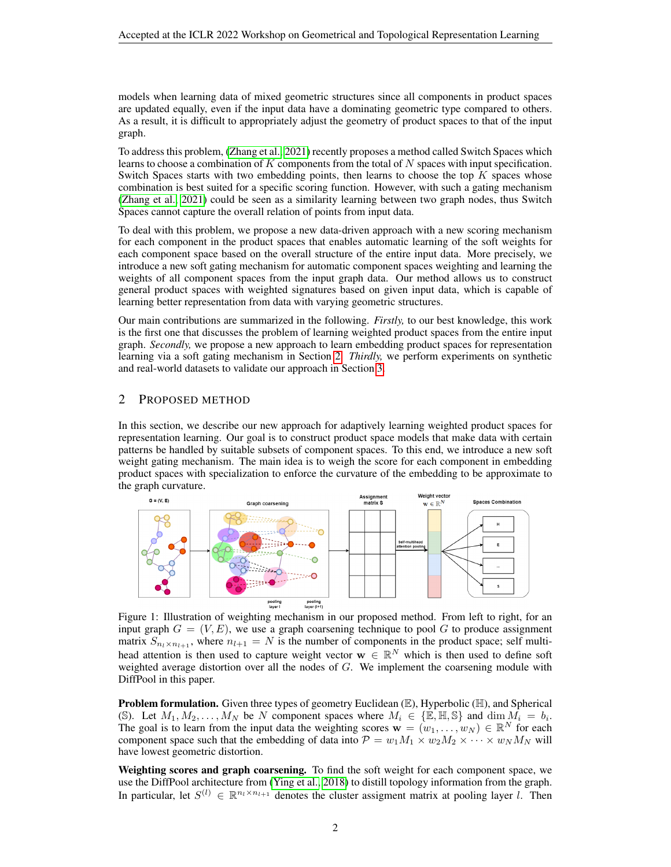models when learning data of mixed geometric structures since all components in product spaces are updated equally, even if the input data have a dominating geometric type compared to others. As a result, it is difficult to appropriately adjust the geometry of product spaces to that of the input graph.

To address this problem, [\(Zhang et al., 2021\)](#page-5-5) recently proposes a method called Switch Spaces which learns to choose a combination of  $K$  components from the total of  $N$  spaces with input specification. Switch Spaces starts with two embedding points, then learns to choose the top  $K$  spaces whose combination is best suited for a specific scoring function. However, with such a gating mechanism [\(Zhang et al., 2021\)](#page-5-5) could be seen as a similarity learning between two graph nodes, thus Switch Spaces cannot capture the overall relation of points from input data.

To deal with this problem, we propose a new data-driven approach with a new scoring mechanism for each component in the product spaces that enables automatic learning of the soft weights for each component space based on the overall structure of the entire input data. More precisely, we introduce a new soft gating mechanism for automatic component spaces weighting and learning the weights of all component spaces from the input graph data. Our method allows us to construct general product spaces with weighted signatures based on given input data, which is capable of learning better representation from data with varying geometric structures.

Our main contributions are summarized in the following. *Firstly,* to our best knowledge, this work is the first one that discusses the problem of learning weighted product spaces from the entire input graph. *Secondly,* we propose a new approach to learn embedding product spaces for representation learning via a soft gating mechanism in Section [2.](#page-1-0) *Thirdly,* we perform experiments on synthetic and real-world datasets to validate our approach in Section [3.](#page-2-0)

## <span id="page-1-0"></span>2 PROPOSED METHOD

In this section, we describe our new approach for adaptively learning weighted product spaces for representation learning. Our goal is to construct product space models that make data with certain patterns be handled by suitable subsets of component spaces. To this end, we introduce a new soft weight gating mechanism. The main idea is to weigh the score for each component in embedding product spaces with specialization to enforce the curvature of the embedding to be approximate to the graph curvature.



Figure 1: Illustration of weighting mechanism in our proposed method. From left to right, for an input graph  $G = (V, E)$ , we use a graph coarsening technique to pool G to produce assignment matrix  $S_{n_l \times n_{l+1}}$ , where  $n_{l+1} = N$  is the number of components in the product space; self multihead attention is then used to capture weight vector  $w \in \mathbb{R}^N$  which is then used to define soft weighted average distortion over all the nodes of  $G$ . We implement the coarsening module with DiffPool in this paper.

**Problem formulation.** Given three types of geometry Euclidean  $(\mathbb{E})$ , Hyperbolic  $(\mathbb{H})$ , and Spherical (S). Let  $M_1, M_2, \ldots, M_N$  be N component spaces where  $M_i \in \{\mathbb{E}, \mathbb{H}, \mathbb{S}\}\$  and  $\dim M_i = b_i$ . The goal is to learn from the input data the weighting scores  $\mathbf{w} = (w_1, \ldots, w_N) \in \mathbb{R}^N$  for each component space such that the embedding of data into  $P = w_1 M_1 \times w_2 M_2 \times \cdots \times w_N M_N$  will have lowest geometric distortion.

Weighting scores and graph coarsening. To find the soft weight for each component space, we use the DiffPool architecture from [\(Ying et al., 2018\)](#page-5-6) to distill topology information from the graph. In particular, let  $S^{(l)} \in \mathbb{R}^{n_l \times n_{l+1}}$  denotes the cluster assigment matrix at pooling layer l. Then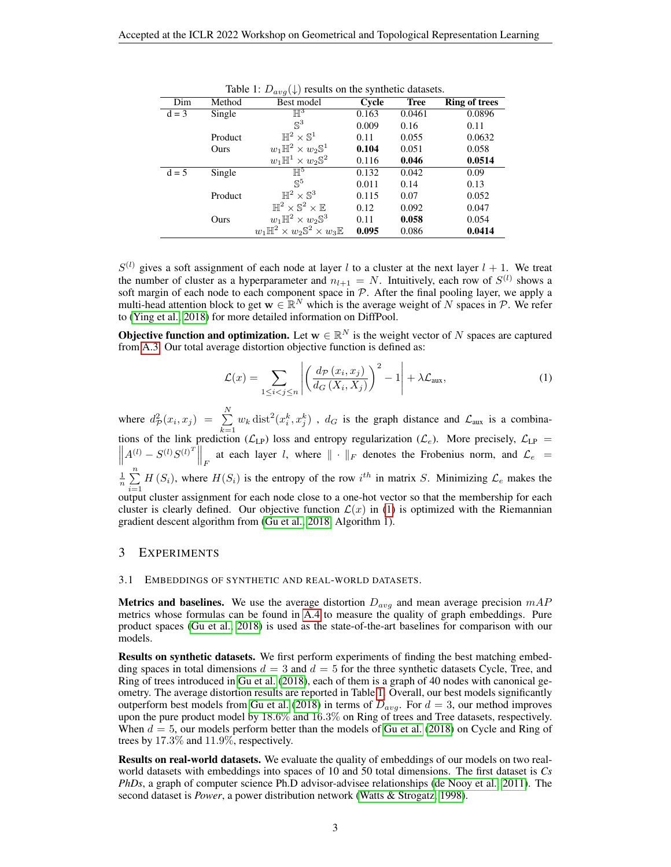| Dim     | Method  | Best model                                                  | Cycle | <b>Tree</b> | <b>Ring of trees</b> |
|---------|---------|-------------------------------------------------------------|-------|-------------|----------------------|
| $d = 3$ | Single  | $\mathbb{H}^3$                                              | 0.163 | 0.0461      | 0.0896               |
|         |         | $\mathbb{S}^3$                                              | 0.009 | 0.16        | 0.11                 |
|         | Product | $\mathbb{H}^2\times\mathbb{S}^1$                            | 0.11  | 0.055       | 0.0632               |
|         | Ours    | $w_1\mathbb{H}^2\times w_2\mathbb{S}^1$                     | 0.104 | 0.051       | 0.058                |
|         |         | $w_1\mathbb{H}^1\times w_2\mathbb{S}^2$                     | 0.116 | 0.046       | 0.0514               |
| $d = 5$ | Single  | $\mathbb{H}^5$                                              | 0.132 | 0.042       | 0.09                 |
|         |         | $\mathbb{S}^5$                                              | 0.011 | 0.14        | 0.13                 |
|         | Product | $\mathbb{H}^2\times\mathbb{S}^3$                            | 0.115 | 0.07        | 0.052                |
|         |         | $\mathbb{H}^2 \times \mathbb{S}^2 \times \mathbb{E}$        | 0.12  | 0.092       | 0.047                |
|         | Ours    | $w_1\mathbb{H}^2\times w_2\mathbb{S}^3$                     | 0.11  | 0.058       | 0.054                |
|         |         | $w_1\mathbb{H}^2\times w_2\mathbb{S}^2\times w_3\mathbb{E}$ | 0.095 | 0.086       | 0.0414               |

<span id="page-2-2"></span>Table 1:  $D_{avg}(\downarrow)$  results on the synthetic datasets.

 $S^{(l)}$  gives a soft assignment of each node at layer l to a cluster at the next layer  $l + 1$ . We treat the number of cluster as a hyperparameter and  $n_{l+1} = N$ . Intuitively, each row of  $S^{(l)}$  shows a soft margin of each node to each component space in  $P$ . After the final pooling layer, we apply a multi-head attention block to get  $w \in \mathbb{R}^N$  which is the average weight of N spaces in P. We refer to [\(Ying et al., 2018\)](#page-5-6) for more detailed information on DiffPool.

**Objective function and optimization.** Let  $w \in \mathbb{R}^N$  is the weight vector of N spaces are captured from [A.3.](#page-8-0) Our total average distortion objective function is defined as:

<span id="page-2-1"></span>
$$
\mathcal{L}(x) = \sum_{1 \le i < j \le n} \left| \left( \frac{d_{\mathcal{P}}(x_i, x_j)}{d_G(X_i, X_j)} \right)^2 - 1 \right| + \lambda \mathcal{L}_{\text{aux}},\tag{1}
$$

where  $d^2_{\mathcal{P}}(x_i, x_j) = \sum^N$  $\sum_{k=1}^{1} w_k \text{dist}^2(x_i^k, x_j^k)$ ,  $d_G$  is the graph distance and  $\mathcal{L}_{\text{aux}}$  is a combinations of the link prediction ( $\mathcal{L}_{LP}$ ) loss and entropy regularization ( $\mathcal{L}_e$ ). More precisely,  $\mathcal{L}_{LP}$  =  $\left\| A^{(l)} - S^{(l)} S^{(l)} \right\|_F$  at each layer *l*, where  $\| \cdot \|_F$  denotes the Frobenius norm, and  $\mathcal{L}_e$  =  $\frac{1}{n}$  $\sum_{n=1}^{n}$  $\sum_{i=1}$  H  $(S_i)$ , where  $H(S_i)$  is the entropy of the row  $i^{th}$  in matrix S. Minimizing  $\mathcal{L}_e$  makes the output cluster assignment for each node close to a one-hot vector so that the membership for each cluster is clearly defined. Our objective function  $\mathcal{L}(x)$  in [\(1\)](#page-2-1) is optimized with the Riemannian gradient descent algorithm from [\(Gu et al., 2018,](#page-4-4) Algorithm 1).

### <span id="page-2-0"></span>3 EXPERIMENTS

#### 3.1 EMBEDDINGS OF SYNTHETIC AND REAL-WORLD DATASETS.

**Metrics and baselines.** We use the average distortion  $D_{avg}$  and mean average precision  $mAP$ metrics whose formulas can be found in [A.4](#page-8-1) to measure the quality of graph embeddings. Pure product spaces [\(Gu et al., 2018\)](#page-4-4) is used as the state-of-the-art baselines for comparison with our models.

Results on synthetic datasets. We first perform experiments of finding the best matching embedding spaces in total dimensions  $d = 3$  and  $d = 5$  for the three synthetic datasets Cycle, Tree, and Ring of trees introduced in [Gu et al.](#page-4-4) [\(2018\)](#page-4-4), each of them is a graph of 40 nodes with canonical geometry. The average distortion results are reported in Table [1.](#page-2-2) Overall, our best models significantly outperform best models from [Gu et al.](#page-4-4) [\(2018\)](#page-4-4) in terms of  $D_{avg}$ . For  $d = 3$ , our method improves upon the pure product model by 18.6% and 16.3% on Ring of trees and Tree datasets, respectively. When  $d = 5$ , our models perform better than the models of [Gu et al.](#page-4-4) [\(2018\)](#page-4-4) on Cycle and Ring of trees by 17.3% and 11.9%, respectively.

Results on real-world datasets. We evaluate the quality of embeddings of our models on two realworld datasets with embeddings into spaces of 10 and 50 total dimensions. The first dataset is *Cs PhDs*, a graph of computer science Ph.D advisor-advisee relationships [\(de Nooy et al., 2011\)](#page-4-5). The second dataset is *Power*, a power distribution network [\(Watts & Strogatz, 1998\)](#page-5-7).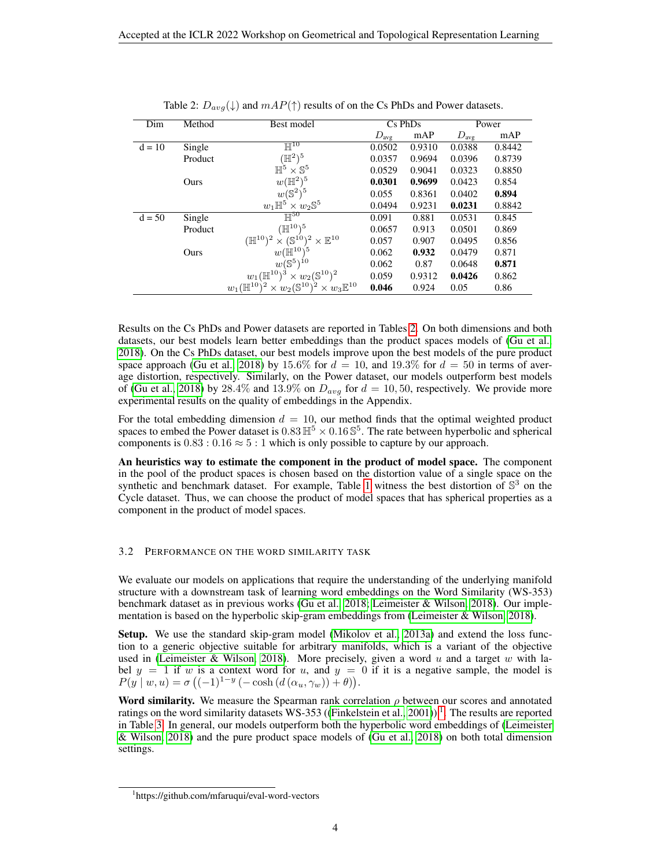| Dim      | Method  | Best model                                                                             | $Cs$ PhDs<br>Power |        |                  |        |
|----------|---------|----------------------------------------------------------------------------------------|--------------------|--------|------------------|--------|
|          |         |                                                                                        | $D_{\text{avg}}$   | mAP    | $D_{\text{avg}}$ | mAP    |
| $d = 10$ | Single  | $\mathbb{H}^{10}$                                                                      | 0.0502             | 0.9310 | 0.0388           | 0.8442 |
|          | Product | $(\mathbb{H}^2)^5$                                                                     | 0.0357             | 0.9694 | 0.0396           | 0.8739 |
|          |         | $\mathbb{H}^5 \times \mathbb{S}^5$                                                     | 0.0529             | 0.9041 | 0.0323           | 0.8850 |
|          | Ours    | $w(\mathbb{H}^2)^5$                                                                    | 0.0301             | 0.9699 | 0.0423           | 0.854  |
|          |         | $w(\mathbb{S}^2)^5$                                                                    | 0.055              | 0.8361 | 0.0402           | 0.894  |
|          |         | $w_1\mathbb{H}^5\times w_2\mathbb{S}^5$                                                | 0.0494             | 0.9231 | 0.0231           | 0.8842 |
| $d = 50$ | Single  | $\mathbb{H}^{50}$                                                                      | 0.091              | 0.881  | 0.0531           | 0.845  |
|          | Product | $(\mathbb{H}^{10})^5$                                                                  | 0.0657             | 0.913  | 0.0501           | 0.869  |
|          |         | $(\mathbb{H}^{10})^2 \times (\mathbb{S}^{10})^2 \times \mathbb{E}^{10}$                | 0.057              | 0.907  | 0.0495           | 0.856  |
|          | Ours    | $w(\dot{\mathbb{H}}^{10})^5$                                                           | 0.062              | 0.932  | 0.0479           | 0.871  |
|          |         | $w(\mathbb{S}^5)^{10}$                                                                 | 0.062              | 0.87   | 0.0648           | 0.871  |
|          |         | $w_1(\mathbb{H}^{10})^3 \times w_2(\mathbb{S}^{10})^2$                                 | 0.059              | 0.9312 | 0.0426           | 0.862  |
|          |         | $w_1(\mathbb{H}^{10})^2 \times w_2(\mathbb{S}^{10})^2$<br>$\times w_3 \mathbb{E}^{10}$ | 0.046              | 0.924  | 0.05             | 0.86   |

<span id="page-3-0"></span>

|  | Table 2: $D_{avg}(\downarrow)$ and $mAP(\uparrow)$ results of on the Cs PhDs and Power datasets. |
|--|--------------------------------------------------------------------------------------------------|
|--|--------------------------------------------------------------------------------------------------|

Results on the Cs PhDs and Power datasets are reported in Tables [2.](#page-3-0) On both dimensions and both datasets, our best models learn better embeddings than the product spaces models of [\(Gu et al.,](#page-4-4) [2018\)](#page-4-4). On the Cs PhDs dataset, our best models improve upon the best models of the pure product space approach [\(Gu et al., 2018\)](#page-4-4) by 15.6% for  $d = 10$ , and 19.3% for  $d = 50$  in terms of average distortion, respectively. Similarly, on the Power dataset, our models outperform best models of [\(Gu et al., 2018\)](#page-4-4) by 28.4% and 13.9% on  $D_{avg}$  for  $d = 10, 50$ , respectively. We provide more experimental results on the quality of embeddings in the Appendix.

For the total embedding dimension  $d = 10$ , our method finds that the optimal weighted product spaces to embed the Power dataset is  $0.83 \mathbb{H}^5 \times 0.16 \mathbb{S}^5$ . The rate between hyperbolic and spherical components is  $0.83: 0.16 \approx 5:1$  which is only possible to capture by our approach.

An heuristics way to estimate the component in the product of model space. The component in the pool of the product spaces is chosen based on the distortion value of a single space on the synthetic and benchmark dataset. For example, Table [1](#page-2-2) witness the best distortion of  $\mathbb{S}^3$  on the Cycle dataset. Thus, we can choose the product of model spaces that has spherical properties as a component in the product of model spaces.

#### 3.2 PERFORMANCE ON THE WORD SIMILARITY TASK

We evaluate our models on applications that require the understanding of the underlying manifold structure with a downstream task of learning word embeddings on the Word Similarity (WS-353) benchmark dataset as in previous works [\(Gu et al., 2018;](#page-4-4) [Leimeister & Wilson, 2018\)](#page-4-6). Our implementation is based on the hyperbolic skip-gram embeddings from [\(Leimeister & Wilson, 2018\)](#page-4-6).

Setup. We use the standard skip-gram model [\(Mikolov et al., 2013a\)](#page-5-8) and extend the loss function to a generic objective suitable for arbitrary manifolds, which is a variant of the objective used in [\(Leimeister & Wilson, 2018\)](#page-4-6). More precisely, given a word  $u$  and a target  $w$  with label  $y = 1$  if w is a context word for u, and  $y = 0$  if it is a negative sample, the model is  $P(y \mid w, u) = \sigma \left( (-1)^{1-y} \left( -\cosh \left( d \left( \alpha_u, \gamma_w \right) \right) + \theta \right) \right).$ 

Word similarity. We measure the Spearman rank correlation  $\rho$  between our scores and annotated ratings on the word similarity datasets WS-353 ([\(Finkelstein et al., 2001\)](#page-4-7))<sup>[1](#page-3-1)</sup>. The results are reported in Table [3.](#page-4-8) In general, our models outperform both the hyperbolic word embeddings of [\(Leimeister](#page-4-6) [& Wilson, 2018\)](#page-4-6) and the pure product space models of [\(Gu et al., 2018\)](#page-4-4) on both total dimension settings.

<span id="page-3-1"></span><sup>1</sup> https://github.com/mfaruqui/eval-word-vectors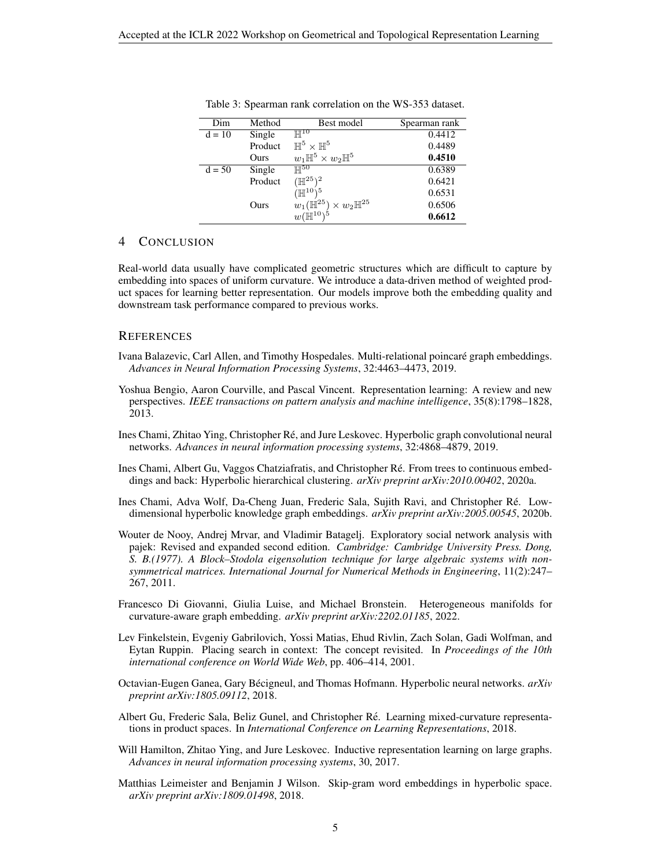| Dim      | Method  | Best model                                                                  | Spearman rank |
|----------|---------|-----------------------------------------------------------------------------|---------------|
| $d = 10$ | Single  | $\mathbb{H}^{10}$                                                           | 0.4412        |
|          | Product | $\mathbb{H}^5 \times \mathbb{H}^5$                                          | 0.4489        |
|          | Ours    | $w_1\mathbb{H}^5\times w_2\mathbb{H}^5$                                     | 0.4510        |
| $d = 50$ | Single  | $\mathbb{H}^{50}$                                                           | 0.6389        |
|          | Product | $({\mathbb H}^{25})^2$                                                      | 0.6421        |
|          |         | $(\mathbb{H}^{10})^5$                                                       | 0.6531        |
|          | Ours    | $w_1(\mathbb{H}^{25}) \times w_2 \mathbb{H}^{25}$<br>$w(\mathbb{H}^{10})^5$ | 0.6506        |
|          |         |                                                                             | 0.6612        |

<span id="page-4-8"></span>Table 3: Spearman rank correlation on the WS-353 dataset.

## 4 CONCLUSION

Real-world data usually have complicated geometric structures which are difficult to capture by embedding into spaces of uniform curvature. We introduce a data-driven method of weighted product spaces for learning better representation. Our models improve both the embedding quality and downstream task performance compared to previous works.

## **REFERENCES**

- <span id="page-4-1"></span>Ivana Balazevic, Carl Allen, and Timothy Hospedales. Multi-relational poincare graph embeddings. ´ *Advances in Neural Information Processing Systems*, 32:4463–4473, 2019.
- <span id="page-4-0"></span>Yoshua Bengio, Aaron Courville, and Pascal Vincent. Representation learning: A review and new perspectives. *IEEE transactions on pattern analysis and machine intelligence*, 35(8):1798–1828, 2013.
- <span id="page-4-2"></span>Ines Chami, Zhitao Ying, Christopher Re, and Jure Leskovec. Hyperbolic graph convolutional neural ´ networks. *Advances in neural information processing systems*, 32:4868–4879, 2019.
- <span id="page-4-10"></span>Ines Chami, Albert Gu, Vaggos Chatziafratis, and Christopher Ré. From trees to continuous embeddings and back: Hyperbolic hierarchical clustering. *arXiv preprint arXiv:2010.00402*, 2020a.
- <span id="page-4-9"></span>Ines Chami, Adva Wolf, Da-Cheng Juan, Frederic Sala, Sujith Ravi, and Christopher Re. Low- ´ dimensional hyperbolic knowledge graph embeddings. *arXiv preprint arXiv:2005.00545*, 2020b.
- <span id="page-4-5"></span>Wouter de Nooy, Andrej Mrvar, and Vladimir Batagelj. Exploratory social network analysis with pajek: Revised and expanded second edition. *Cambridge: Cambridge University Press. Dong, S. B.(1977). A Block–Stodola eigensolution technique for large algebraic systems with nonsymmetrical matrices. International Journal for Numerical Methods in Engineering*, 11(2):247– 267, 2011.
- <span id="page-4-11"></span>Francesco Di Giovanni, Giulia Luise, and Michael Bronstein. Heterogeneous manifolds for curvature-aware graph embedding. *arXiv preprint arXiv:2202.01185*, 2022.
- <span id="page-4-7"></span>Lev Finkelstein, Evgeniy Gabrilovich, Yossi Matias, Ehud Rivlin, Zach Solan, Gadi Wolfman, and Eytan Ruppin. Placing search in context: The concept revisited. In *Proceedings of the 10th international conference on World Wide Web*, pp. 406–414, 2001.
- <span id="page-4-3"></span>Octavian-Eugen Ganea, Gary Bécigneul, and Thomas Hofmann. Hyperbolic neural networks.  $arXiv$ *preprint arXiv:1805.09112*, 2018.
- <span id="page-4-4"></span>Albert Gu, Frederic Sala, Beliz Gunel, and Christopher Re. Learning mixed-curvature representa- ´ tions in product spaces. In *International Conference on Learning Representations*, 2018.
- <span id="page-4-12"></span>Will Hamilton, Zhitao Ying, and Jure Leskovec. Inductive representation learning on large graphs. *Advances in neural information processing systems*, 30, 2017.
- <span id="page-4-6"></span>Matthias Leimeister and Benjamin J Wilson. Skip-gram word embeddings in hyperbolic space. *arXiv preprint arXiv:1809.01498*, 2018.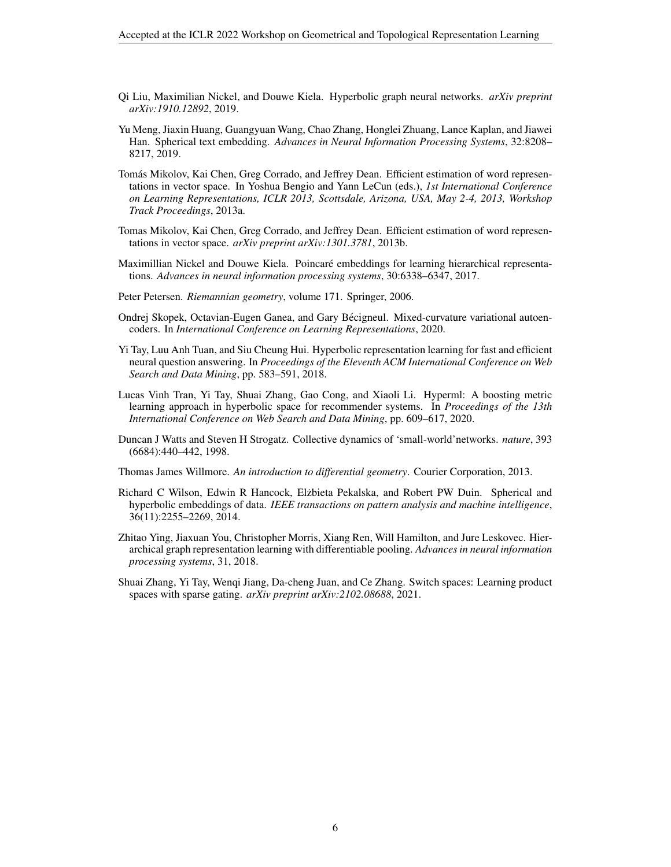- <span id="page-5-11"></span>Qi Liu, Maximilian Nickel, and Douwe Kiela. Hyperbolic graph neural networks. *arXiv preprint arXiv:1910.12892*, 2019.
- <span id="page-5-3"></span>Yu Meng, Jiaxin Huang, Guangyuan Wang, Chao Zhang, Honglei Zhuang, Lance Kaplan, and Jiawei Han. Spherical text embedding. *Advances in Neural Information Processing Systems*, 32:8208– 8217, 2019.
- <span id="page-5-8"></span>Tomás Mikolov, Kai Chen, Greg Corrado, and Jeffrey Dean. Efficient estimation of word representations in vector space. In Yoshua Bengio and Yann LeCun (eds.), *1st International Conference on Learning Representations, ICLR 2013, Scottsdale, Arizona, USA, May 2-4, 2013, Workshop Track Proceedings*, 2013a.
- <span id="page-5-0"></span>Tomas Mikolov, Kai Chen, Greg Corrado, and Jeffrey Dean. Efficient estimation of word representations in vector space. *arXiv preprint arXiv:1301.3781*, 2013b.
- <span id="page-5-1"></span>Maximillian Nickel and Douwe Kiela. Poincare embeddings for learning hierarchical representa- ´ tions. *Advances in neural information processing systems*, 30:6338–6347, 2017.
- <span id="page-5-13"></span>Peter Petersen. *Riemannian geometry*, volume 171. Springer, 2006.
- <span id="page-5-4"></span>Ondrej Skopek, Octavian-Eugen Ganea, and Gary Becigneul. Mixed-curvature variational autoen- ´ coders. In *International Conference on Learning Representations*, 2020.
- <span id="page-5-10"></span>Yi Tay, Luu Anh Tuan, and Siu Cheung Hui. Hyperbolic representation learning for fast and efficient neural question answering. In *Proceedings of the Eleventh ACM International Conference on Web Search and Data Mining*, pp. 583–591, 2018.
- <span id="page-5-9"></span>Lucas Vinh Tran, Yi Tay, Shuai Zhang, Gao Cong, and Xiaoli Li. Hyperml: A boosting metric learning approach in hyperbolic space for recommender systems. In *Proceedings of the 13th International Conference on Web Search and Data Mining*, pp. 609–617, 2020.
- <span id="page-5-7"></span>Duncan J Watts and Steven H Strogatz. Collective dynamics of 'small-world'networks. *nature*, 393 (6684):440–442, 1998.
- <span id="page-5-12"></span>Thomas James Willmore. *An introduction to differential geometry*. Courier Corporation, 2013.
- <span id="page-5-2"></span>Richard C Wilson, Edwin R Hancock, Elżbieta Pekalska, and Robert PW Duin. Spherical and hyperbolic embeddings of data. *IEEE transactions on pattern analysis and machine intelligence*, 36(11):2255–2269, 2014.
- <span id="page-5-6"></span>Zhitao Ying, Jiaxuan You, Christopher Morris, Xiang Ren, Will Hamilton, and Jure Leskovec. Hierarchical graph representation learning with differentiable pooling. *Advances in neural information processing systems*, 31, 2018.
- <span id="page-5-5"></span>Shuai Zhang, Yi Tay, Wenqi Jiang, Da-cheng Juan, and Ce Zhang. Switch spaces: Learning product spaces with sparse gating. *arXiv preprint arXiv:2102.08688*, 2021.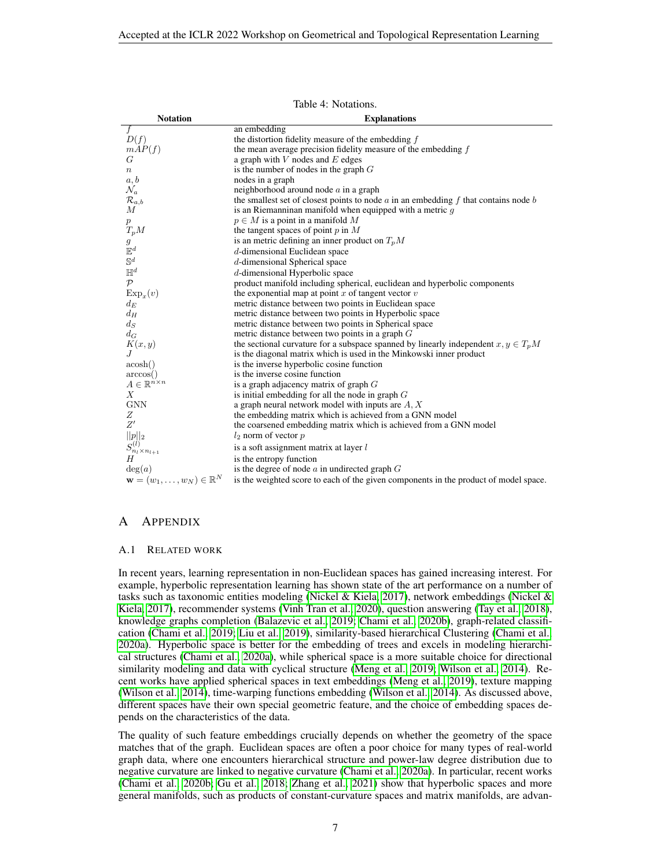| <b>Notation</b>                                   | <b>Explanations</b>                                                                                 |
|---------------------------------------------------|-----------------------------------------------------------------------------------------------------|
| $\overline{f}$                                    | an embedding                                                                                        |
| D(f)                                              | the distortion fidelity measure of the embedding $f$                                                |
| mAP(f)                                            | the mean average precision fidelity measure of the embedding $f$                                    |
| G                                                 | a graph with $V$ nodes and $E$ edges                                                                |
| $\boldsymbol{n}$                                  | is the number of nodes in the graph $G$                                                             |
| a, b                                              | nodes in a graph                                                                                    |
| $\mathcal{N}_a$                                   | neighborhood around node $a$ in a graph                                                             |
| $\mathcal{R}_{a,b}$                               | the smallest set of closest points to node $\alpha$ in an embedding $f$ that contains node $\delta$ |
| $\boldsymbol{M}$                                  | is an Riemanninan manifold when equipped with a metric $g$                                          |
| $\, p \,$                                         | $p \in M$ is a point in a manifold M                                                                |
| $T_pM$                                            | the tangent spaces of point $p$ in $M$                                                              |
| g                                                 | is an metric defining an inner product on $T_pM$                                                    |
| $\mathbb{E}^d$                                    | $d$ -dimensional Euclidean space                                                                    |
| $\mathbb{S}^d$                                    | d-dimensional Spherical space                                                                       |
| $\mathbb{H}^d$                                    | $d$ -dimensional Hyperbolic space                                                                   |
| $\mathcal{P}$                                     | product manifold including spherical, euclidean and hyperbolic components                           |
| $Exp_x(v)$                                        | the exponential map at point $x$ of tangent vector $v$                                              |
| $d_E$                                             | metric distance between two points in Euclidean space                                               |
| $d_H$                                             | metric distance between two points in Hyperbolic space                                              |
| $d_S$                                             | metric distance between two points in Spherical space                                               |
| $d_G$                                             | metric distance between two points in a graph $G$                                                   |
| K(x, y)                                           | the sectional curvature for a subspace spanned by linearly independent $x, y \in T_pM$              |
| .І                                                | is the diagonal matrix which is used in the Minkowski inner product                                 |
| acosh()                                           | is the inverse hyperbolic cosine function                                                           |
| arccos()                                          | is the inverse cosine function                                                                      |
| $A \in \mathbb{R}^{n \times n}$                   | is a graph adjacency matrix of graph $G$                                                            |
| X                                                 | is initial embedding for all the node in graph $G$                                                  |
| <b>GNN</b>                                        | a graph neural network model with inputs are $A, X$                                                 |
| Ζ                                                 | the embedding matrix which is achieved from a GNN model                                             |
| Z'                                                | the coarsened embedding matrix which is achieved from a GNN model                                   |
| $  p  _2$                                         | $l_2$ norm of vector $p$                                                                            |
| $S_{n_l \times n_{l+1}}^{(l)}$                    | is a soft assignment matrix at layer l                                                              |
| H                                                 | is the entropy function                                                                             |
| deg(a)                                            | is the degree of node $a$ in undirected graph $G$                                                   |
| $\mathbf{w} = (w_1, \dots, w_N) \in \mathbb{R}^N$ | is the weighted score to each of the given components in the product of model space.                |

Table 4: Notations.

## A APPENDIX

## A.1 RELATED WORK

In recent years, learning representation in non-Euclidean spaces has gained increasing interest. For example, hyperbolic representation learning has shown state of the art performance on a number of tasks such as taxonomic entities modeling [\(Nickel & Kiela, 2017\)](#page-5-1), network embeddings [\(Nickel &](#page-5-1) [Kiela, 2017\)](#page-5-1), recommender systems [\(Vinh Tran et al., 2020\)](#page-5-9), question answering [\(Tay et al., 2018\)](#page-5-10), knowledge graphs completion [\(Balazevic et al., 2019;](#page-4-1) [Chami et al., 2020b\)](#page-4-9), graph-related classification [\(Chami et al., 2019;](#page-4-2) [Liu et al., 2019\)](#page-5-11), similarity-based hierarchical Clustering [\(Chami et al.,](#page-4-10) [2020a\)](#page-4-10). Hyperbolic space is better for the embedding of trees and excels in modeling hierarchical structures [\(Chami et al., 2020a\)](#page-4-10), while spherical space is a more suitable choice for directional similarity modeling and data with cyclical structure [\(Meng et al., 2019;](#page-5-3) [Wilson et al., 2014\)](#page-5-2). Recent works have applied spherical spaces in text embeddings [\(Meng et al., 2019\)](#page-5-3), texture mapping [\(Wilson et al., 2014\)](#page-5-2), time-warping functions embedding [\(Wilson et al., 2014\)](#page-5-2). As discussed above, different spaces have their own special geometric feature, and the choice of embedding spaces depends on the characteristics of the data.

The quality of such feature embeddings crucially depends on whether the geometry of the space matches that of the graph. Euclidean spaces are often a poor choice for many types of real-world graph data, where one encounters hierarchical structure and power-law degree distribution due to negative curvature are linked to negative curvature [\(Chami et al., 2020a\)](#page-4-10). In particular, recent works [\(Chami et al., 2020b;](#page-4-9) [Gu et al., 2018;](#page-4-4) [Zhang et al., 2021\)](#page-5-5) show that hyperbolic spaces and more general manifolds, such as products of constant-curvature spaces and matrix manifolds, are advan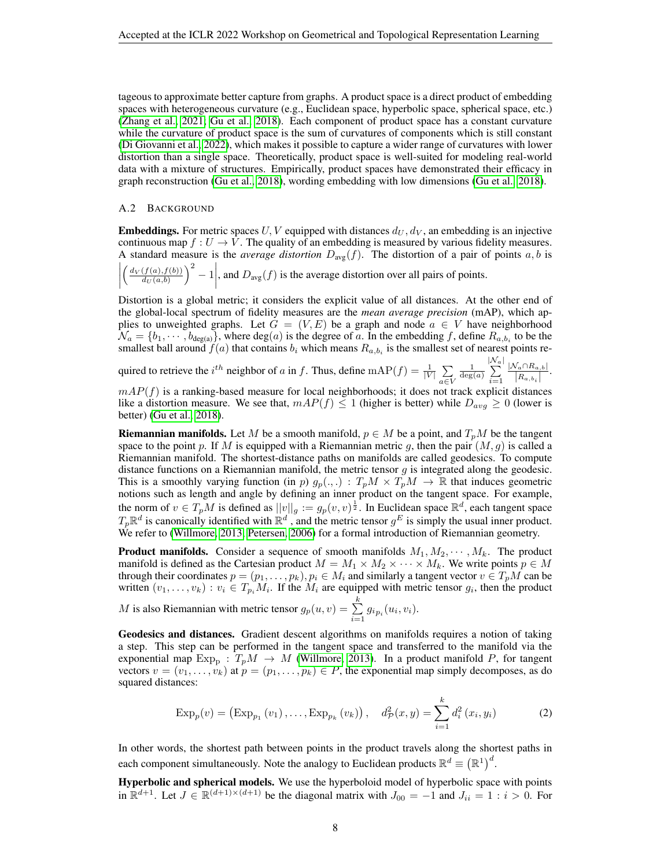tageous to approximate better capture from graphs. A product space is a direct product of embedding spaces with heterogeneous curvature (e.g., Euclidean space, hyperbolic space, spherical space, etc.) [\(Zhang et al., 2021;](#page-5-5) [Gu et al., 2018\)](#page-4-4). Each component of product space has a constant curvature while the curvature of product space is the sum of curvatures of components which is still constant [\(Di Giovanni et al., 2022\)](#page-4-11), which makes it possible to capture a wider range of curvatures with lower distortion than a single space. Theoretically, product space is well-suited for modeling real-world data with a mixture of structures. Empirically, product spaces have demonstrated their efficacy in graph reconstruction [\(Gu et al., 2018\)](#page-4-4), wording embedding with low dimensions [\(Gu et al., 2018\)](#page-4-4).

### A.2 BACKGROUND

**Embeddings.** For metric spaces U, V equipped with distances  $d_U, d_V$ , an embedding is an injective continuous map  $f: U \to V$ . The quality of an embedding is measured by various fidelity measures. A standard measure is the *average distortion*  $D_{\text{avg}}(f)$ . The distortion of a pair of points  $a, b$  is

$$
\left| \left( \frac{d_V(f(a), f(b))}{d_U(a, b)} \right)^2 - 1 \right|
$$
, and  $D_{avg}(f)$  is the average distortion over all pairs of points.

Distortion is a global metric; it considers the explicit value of all distances. At the other end of the global-local spectrum of fidelity measures are the *mean average precision* (mAP), which applies to unweighted graphs. Let  $G = (V, E)$  be a graph and node  $a \in V$  have neighborhood  $\mathcal{N}_a = \{b_1, \dots, b_{\text{deg}(a)}\}$ , where  $\text{deg}(a)$  is the degree of a. In the embedding f, define  $R_{a,b_i}$  to be the smallest ball around  $f(a)$  that contains  $b_i$  which means  $R_{a,b_i}$  is the smallest set of nearest points re-

quired to retrieve the  $i^{th}$  neighbor of a in f. Thus, define  $\text{mAP}(f) = \frac{1}{|V|} \sum_{i=1}^{n}$ a∈V  $\frac{1}{\deg(a)}$  $\sum_{i=1}^{\lvert \mathcal{N}_a \rvert}$  $i=1$  $|\mathcal{N}_a \cap R_{a,b}|$  $\frac{|N_a|\,|R_{a,b_i}|}{|R_{a,b_i}|}.$ 

 $mAP(f)$  is a ranking-based measure for local neighborhoods; it does not track explicit distances like a distortion measure. We see that,  $mAP(f) \leq 1$  (higher is better) while  $D_{avg} \geq 0$  (lower is better) [\(Gu et al., 2018\)](#page-4-4).

**Riemannian manifolds.** Let M be a smooth manifold,  $p \in M$  be a point, and  $T_pM$  be the tangent space to the point p. If M is equipped with a Riemannian metric g, then the pair  $(M, g)$  is called a Riemannian manifold. The shortest-distance paths on manifolds are called geodesics. To compute distance functions on a Riemannian manifold, the metric tensor  $g$  is integrated along the geodesic. This is a smoothly varying function (in p)  $g_p(.,.) : T_pM \times T_pM \to \mathbb{R}$  that induces geometric notions such as length and angle by defining an inner product on the tangent space. For example, the norm of  $v \in T_pM$  is defined as  $||v||_g := g_p(v, v)^{\frac{1}{2}}$ . In Euclidean space  $\mathbb{R}^d$ , each tangent space  $T_p\mathbb{R}^d$  is canonically identified with  $\mathbb{R}^d$ , and the metric tensor  $g^E$  is simply the usual inner product. We refer to [\(Willmore, 2013;](#page-5-12) [Petersen, 2006\)](#page-5-13) for a formal introduction of Riemannian geometry.

**Product manifolds.** Consider a sequence of smooth manifolds  $M_1, M_2, \dots, M_k$ . The product manifold is defined as the Cartesian product  $M = M_1 \times M_2 \times \cdots \times M_k$ . We write points  $p \in M$ through their coordinates  $p = (p_1, \ldots, p_k)$ ,  $p_i \in M_i$  and similarly a tangent vector  $v \in T_pM$  can be written  $(v_1, \ldots, v_k) : v_i \in T_{p_i}M_i$ . If the  $M_i$  are equipped with metric tensor  $g_i$ , then the product

*M* is also Riemannian with metric tensor  $g_p(u, v) = \sum_{n=1}^k u_p$  $\sum_{i=1} g_{i p_i}(u_i, v_i).$ 

Geodesics and distances. Gradient descent algorithms on manifolds requires a notion of taking a step. This step can be performed in the tangent space and transferred to the manifold via the exponential map  $Exp_{p}$ :  $T_{p}M \rightarrow M$  [\(Willmore, 2013\)](#page-5-12). In a product manifold P, for tangent vectors  $v = (v_1, \ldots, v_k)$  at  $p = (p_1, \ldots, p_k) \in P$ , the exponential map simply decomposes, as do squared distances:

$$
Exp_p(v) = (Exp_{p_1}(v_1), \dots, Exp_{p_k}(v_k)), \quad d^2_p(x, y) = \sum_{i=1}^k d^2_i(x_i, y_i)
$$
 (2)

In other words, the shortest path between points in the product travels along the shortest paths in each component simultaneously. Note the analogy to Euclidean products  $\mathbb{R}^d \equiv (\mathbb{R}^1)^d$ .

Hyperbolic and spherical models. We use the hyperboloid model of hyperbolic space with points in  $\mathbb{R}^{d+1}$ . Let  $J \in \mathbb{R}^{(d+1)\times(d+1)}$  be the diagonal matrix with  $J_{00} = -1$  and  $J_{ii} = 1 : i > 0$ . For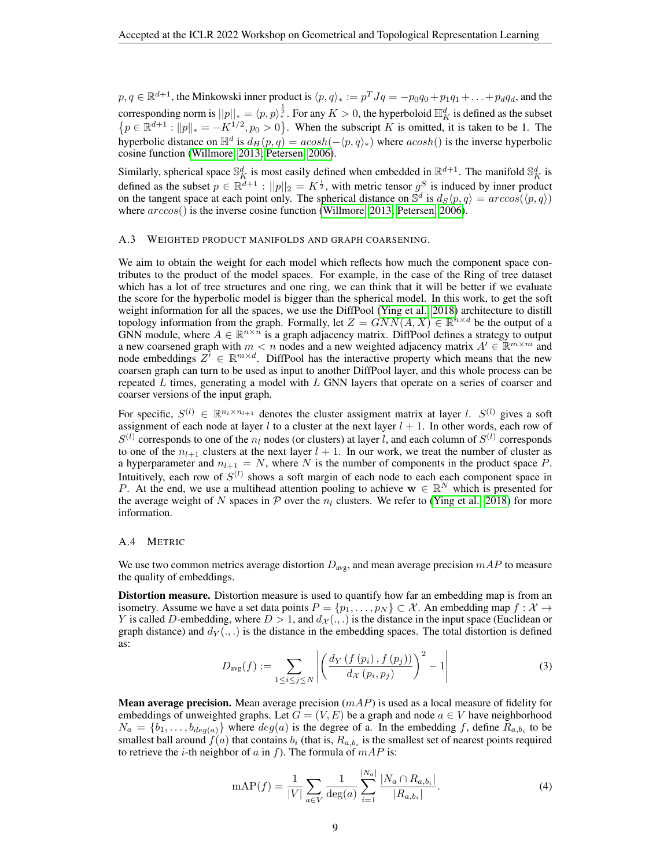$p, q \in \mathbb{R}^{d+1}$ , the Minkowski inner product is  $\langle p, q \rangle_* := p^T J q = -p_0 q_0 + p_1 q_1 + \ldots + p_d q_d$ , and the corresponding norm is  $||p||_* = \langle p, p \rangle_*^{\frac{1}{2}}$ . For any  $K > 0$ , the hyperboloid  $\mathbb{H}_K^d$  is defined as the subset  $\{p \in \mathbb{R}^{d+1} : ||p||_{*} = -K^{1/2}, p_0 > 0\}$ . When the subscript K is omitted, it is taken to be 1. The hyperbolic distance on  $\mathbb{H}^d$  is  $d_H(p,q) = acosh(-\langle p,q \rangle)$  where  $acosh()$  is the inverse hyperbolic cosine function [\(Willmore, 2013;](#page-5-12) [Petersen, 2006\)](#page-5-13).

Similarly, spherical space  $\mathbb{S}_K^d$  is most easily defined when embedded in  $\mathbb{R}^{d+1}$ . The manifold  $\mathbb{S}_K^d$  is defined as the subset  $p \in \mathbb{R}^{d+1}$ :  $||p||_2 = K^{\frac{1}{2}}$ , with metric tensor  $g^S$  is induced by inner product on the tangent space at each point only. The spherical distance on  $\mathbb{S}^d$  is  $d_S\langle p, q \rangle = arccos(\langle p, q \rangle)$ where  $arccos()$  is the inverse cosine function [\(Willmore, 2013;](#page-5-12) [Petersen, 2006\)](#page-5-13).

#### <span id="page-8-0"></span>A.3 WEIGHTED PRODUCT MANIFOLDS AND GRAPH COARSENING.

We aim to obtain the weight for each model which reflects how much the component space contributes to the product of the model spaces. For example, in the case of the Ring of tree dataset which has a lot of tree structures and one ring, we can think that it will be better if we evaluate the score for the hyperbolic model is bigger than the spherical model. In this work, to get the soft weight information for all the spaces, we use the DiffPool [\(Ying et al., 2018\)](#page-5-6) architecture to distill topology information from the graph. Formally, let  $Z = GNN(A, X) \in \mathbb{R}^{n \times d}$  be the output of a GNN module, where  $A \in \mathbb{R}^{n \times \tilde{n}}$  is a graph adjacency matrix. DiffPool defines a strategy to output a new coarsened graph with  $m < n$  nodes and a new weighted adjacency matrix  $A' \in \mathbb{R}^{m \times m}$  and node embeddings  $Z^i \in \mathbb{R}^{m \times d}$ . DiffPool has the interactive property which means that the new coarsen graph can turn to be used as input to another DiffPool layer, and this whole process can be repeated  $L$  times, generating a model with  $L$  GNN layers that operate on a series of coarser and coarser versions of the input graph.

For specific,  $S^{(l)} \in \mathbb{R}^{n_l \times n_{l+1}}$  denotes the cluster assigment matrix at layer *l.*  $S^{(l)}$  gives a soft assignment of each node at layer l to a cluster at the next layer  $l + 1$ . In other words, each row of  $S^{(l)}$  corresponds to one of the  $n_l$  nodes (or clusters) at layer l, and each column of  $S^{(l)}$  corresponds to one of the  $n_{l+1}$  clusters at the next layer  $l + 1$ . In our work, we treat the number of cluster as a hyperparameter and  $n_{l+1} = N$ , where N is the number of components in the product space P. Intuitively, each row of  $S^{(l)}$  shows a soft margin of each node to each each component space in P. At the end, we use a multihead attention pooling to achieve  $w \in \mathbb{R}^N$  which is presented for the average weight of N spaces in  $\mathcal P$  over the  $n_l$  clusters. We refer to [\(Ying et al., 2018\)](#page-5-6) for more information.

#### <span id="page-8-1"></span>A.4 METRIC

We use two common metrics average distortion  $D_{\text{avg}}$ , and mean average precision  $mAP$  to measure the quality of embeddings.

**Distortion measure.** Distortion measure is used to quantify how far an embedding map is from an isometry. Assume we have a set data points  $P = \{p_1, \ldots, p_N\} \subset \mathcal{X}$ . An embedding map  $f : \mathcal{X} \to$ Y is called D-embedding, where  $D > 1$ , and  $d_{\mathcal{X}}(.,.)$  is the distance in the input space (Euclidean or graph distance) and  $d_Y(\cdot, \cdot)$  is the distance in the embedding spaces. The total distortion is defined as:

$$
D_{\text{avg}}(f) := \sum_{1 \le i \le j \le N} \left| \left( \frac{d_Y(f(p_i), f(p_j))}{d_X(p_i, p_j)} \right)^2 - 1 \right| \tag{3}
$$

**Mean average precision.** Mean average precision  $(mAP)$  is used as a local measure of fidelity for embeddings of unweighted graphs. Let  $G = (V, E)$  be a graph and node  $a \in V$  have neighborhood  $N_a = \{b_1, \ldots, b_{deg(a)}\}$  where  $deg(a)$  is the degree of a. In the embedding f, define  $R_{a,b_i}$  to be smallest ball around  $f(a)$  that contains  $b_i$  (that is,  $R_{a,b_i}$  is the smallest set of nearest points required to retrieve the *i*-th neighbor of a in f). The formula of  $mAP$  is:

$$
\text{mAP}(f) = \frac{1}{|V|} \sum_{a \in V} \frac{1}{\text{deg}(a)} \sum_{i=1}^{|N_a|} \frac{|N_a \cap R_{a,b_i}|}{|R_{a,b_i}|}. \tag{4}
$$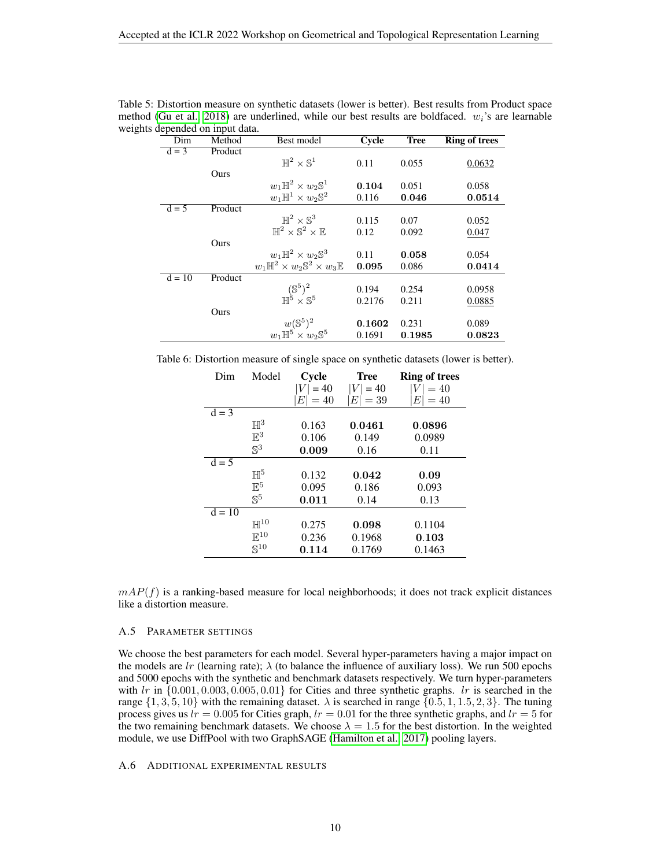| $-1$<br>Dim | Method  | Best model                                                        | Cycle  | <b>Tree</b> | <b>Ring of trees</b> |
|-------------|---------|-------------------------------------------------------------------|--------|-------------|----------------------|
| $d = 3$     | Product |                                                                   |        |             |                      |
|             |         | $\mathbb{H}^2\times\mathbb{S}^1$                                  | 0.11   | 0.055       | 0.0632               |
|             | Ours    |                                                                   |        |             |                      |
|             |         | $w_1\mathbb{H}^2\times w_2\mathbb{S}^1$                           | 0.104  | 0.051       | 0.058                |
|             |         | $w_1\mathbb{H}^1\times w_2\mathbb{S}^2$                           | 0.116  | 0.046       | 0.0514               |
| $d = 5$     | Product |                                                                   |        |             |                      |
|             |         | $\mathbb{H}^2 \times \mathbb{S}^3$                                | 0.115  | 0.07        | 0.052                |
|             |         | $\mathbb{H}^2 \times \mathbb{S}^2 \times \mathbb{E}$              | 0.12   | 0.092       | 0.047                |
|             | Ours    |                                                                   |        |             |                      |
|             |         | $w_1\mathbb{H}^2\times w_2\mathbb{S}^3$                           | 0.11   | 0.058       | 0.054                |
|             |         | $w_1\mathbb{H}^2\times w_2\mathbb{S}^2\times w_3\mathbb{E}$       | 0.095  | 0.086       | 0.0414               |
| $d = 10$    | Product |                                                                   |        |             |                      |
|             |         | $\mathbb{H}^5 \times \mathbb{S}^5$                                | 0.194  | 0.254       | 0.0958               |
|             |         |                                                                   | 0.2176 | 0.211       | 0.0885               |
|             | Ours    |                                                                   |        |             |                      |
|             |         | $w(\mathbb{S}^5)^2$<br>$w_1 \mathbb{H}^5 \times w_2 \mathbb{S}^5$ | 0.1602 | 0.231       | 0.089                |
|             |         |                                                                   | 0.1691 | 0.1985      | 0.0823               |

Table 5: Distortion measure on synthetic datasets (lower is better). Best results from Product space method [\(Gu et al., 2018\)](#page-4-4) are underlined, while our best results are boldfaced.  $w<sub>i</sub>$ 's are learnable weights depended on input data.

Table 6: Distortion measure of single space on synthetic datasets (lower is better).

| Dim      | Model             | Cycle             | Tree        | <b>Ring of trees</b> |
|----------|-------------------|-------------------|-------------|----------------------|
|          |                   | $= 40$            | $ V  = 40$  | $=40$                |
|          |                   | $E\vert$<br>$=40$ | $=$ 39<br>E | E<br>$=40$           |
| $d = 3$  |                   |                   |             |                      |
|          | $\mathbb{H}^3$    | 0.163             | 0.0461      | 0.0896               |
|          | $\mathbb{E}^3$    | 0.106             | 0.149       | 0.0989               |
|          | $\mathbb{S}^3$    | 0.009             | 0.16        | 0.11                 |
| $d = 5$  |                   |                   |             |                      |
|          | H <sup>5</sup>    | 0.132             | 0.042       | 0.09                 |
|          | $\mathbb{E}^5$    | 0.095             | 0.186       | 0.093                |
|          | $\mathbb{S}^5$    | 0.011             | 0.14        | 0.13                 |
| $d = 10$ |                   |                   |             |                      |
|          | $\mathbb{H}^{10}$ | 0.275             | 0.098       | 0.1104               |
|          | $\mathbb{E}^{10}$ | 0.236             | 0.1968      | 0.103                |
|          | $\mathbb{S}^{10}$ | 0.114             | 0.1769      | 0.1463               |

 $mAP(f)$  is a ranking-based measure for local neighborhoods; it does not track explicit distances like a distortion measure.

### A.5 PARAMETER SETTINGS

We choose the best parameters for each model. Several hyper-parameters having a major impact on the models are lr (learning rate);  $\lambda$  (to balance the influence of auxiliary loss). We run 500 epochs and 5000 epochs with the synthetic and benchmark datasets respectively. We turn hyper-parameters with  $lr$  in  $\{0.001, 0.003, 0.005, 0.01\}$  for Cities and three synthetic graphs.  $lr$  is searched in the range  $\{1, 3, 5, 10\}$  with the remaining dataset.  $\lambda$  is searched in range  $\{0.5, 1, 1.5, 2, 3\}$ . The tuning process gives us  $lr = 0.005$  for Cities graph,  $lr = 0.01$  for the three synthetic graphs, and  $lr = 5$  for the two remaining benchmark datasets. We choose  $\lambda = 1.5$  for the best distortion. In the weighted module, we use DiffPool with two GraphSAGE [\(Hamilton et al., 2017\)](#page-4-12) pooling layers.

A.6 ADDITIONAL EXPERIMENTAL RESULTS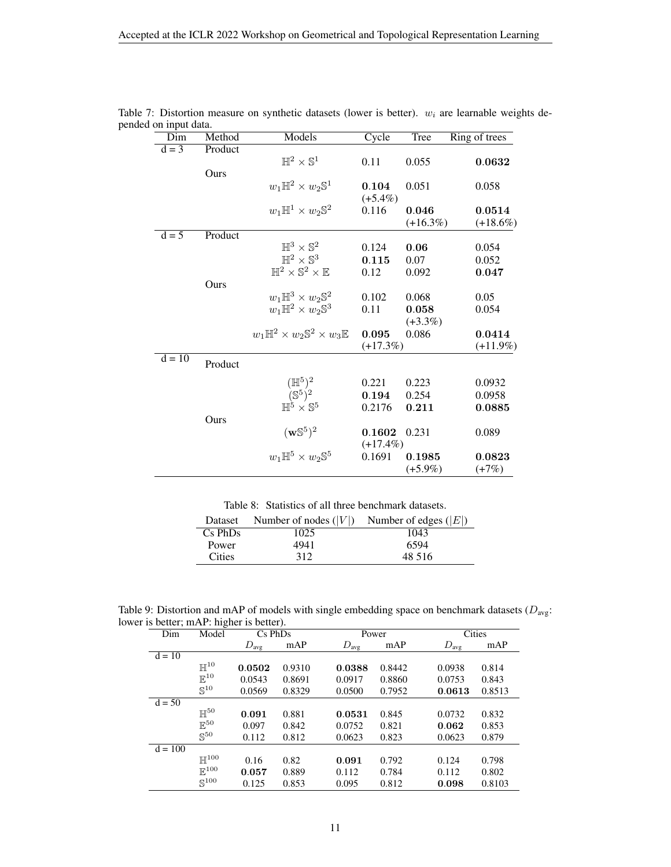| Dim      | Method  | Models                                                                                                  | Cycle       | Tree        | Ring of trees |
|----------|---------|---------------------------------------------------------------------------------------------------------|-------------|-------------|---------------|
| $d = 3$  | Product |                                                                                                         |             |             |               |
|          |         | $\mathbb{H}^2\times\mathbb{S}^1$                                                                        | 0.11        | 0.055       | 0.0632        |
|          | Ours    |                                                                                                         |             |             |               |
|          |         | $w_1\mathbb{H}^2\times w_2\mathbb{S}^1$                                                                 | 0.104       | 0.051       | 0.058         |
|          |         |                                                                                                         | $(+5.4\%)$  |             |               |
|          |         | $w_1\mathbb{H}^1\times w_2\mathbb{S}^2$                                                                 | 0.116       | 0.046       | 0.0514        |
|          |         |                                                                                                         |             | $(+16.3\%)$ | $(+18.6\%)$   |
| $d = 5$  | Product |                                                                                                         |             |             |               |
|          |         | $\mathbb{H}^3 \times \mathbb{S}^2$                                                                      | 0.124       | 0.06        | 0.054         |
|          |         | $\mathbb{H}^2 \times \mathbb{S}^3$                                                                      | 0.115       | 0.07        | 0.052         |
|          |         | $\mathbb{H}^2 \times \mathbb{S}^2 \times \mathbb{E}$                                                    | 0.12        | 0.092       | 0.047         |
|          | Ours    |                                                                                                         |             |             |               |
|          |         | $w_1\mathbb{H}^3\times w_2\mathbb{S}^2$                                                                 | 0.102       | 0.068       | 0.05          |
|          |         | $w_1\mathbb{H}^2\times w_2\mathbb{S}^3$                                                                 | 0.11        | 0.058       | 0.054         |
|          |         |                                                                                                         |             | $(+3.3\%)$  |               |
|          |         | $w_1\mathbb{H}^2\times w_2\mathbb{S}^2\times w_3\mathbb{E}$                                             | 0.095       | 0.086       | 0.0414        |
|          |         |                                                                                                         | $(+17.3%)$  |             | $(+11.9\%)$   |
| $d = 10$ | Product |                                                                                                         |             |             |               |
|          |         |                                                                                                         | 0.221       | 0.223       | 0.0932        |
|          |         | $\begin{array}{c} (\mathbb{H}^5)^2 \\ (\mathbb{S}^5)^2 \\ \mathbb{H}^5 \times \mathbb{S}^5 \end{array}$ | 0.194       | 0.254       | 0.0958        |
|          |         |                                                                                                         | 0.2176      | 0.211       | 0.0885        |
|          | Ours    |                                                                                                         |             |             |               |
|          |         | $(\mathbf{w}\mathbb{S}^5)^2$                                                                            | 0.1602      | 0.231       | 0.089         |
|          |         |                                                                                                         | $(+17.4\%)$ |             |               |
|          |         | $w_1\mathbb{H}^5\times w_2\mathbb{S}^5$                                                                 | 0.1691      | 0.1985      | 0.0823        |
|          |         |                                                                                                         |             | $(+5.9\%)$  | $(+7%)$       |

Table 7: Distortion measure on synthetic datasets (lower is better).  $w_i$  are learnable weights depended on input data.

Table 8: Statistics of all three benchmark datasets.

| Dataset       | Number of nodes $( V )$ | Number of edges $( E )$ |
|---------------|-------------------------|-------------------------|
| $Cs$ PhDs     | 1025                    | 1043                    |
| Power         | 4941                    | 6594                    |
| <b>Cities</b> | 312                     | 48.516                  |

Table 9: Distortion and mAP of models with single embedding space on benchmark datasets ( $D_{\text{avg}}$ : lower is better; mAP: higher is better).

| Dim       | Model              | $\overline{Cs}$ PhDs |        |                  | Power  |                  | <b>Cities</b> |  |  |
|-----------|--------------------|----------------------|--------|------------------|--------|------------------|---------------|--|--|
|           |                    | $D_{\text{avg}}$     | mAP    | $D_{\text{avg}}$ | mAP    | $D_{\text{avg}}$ | mAP           |  |  |
| $d = 10$  |                    |                      |        |                  |        |                  |               |  |  |
|           | $\mathbb{H}^{10}$  | 0.0502               | 0.9310 | 0.0388           | 0.8442 | 0.0938           | 0.814         |  |  |
|           | $\mathbb{E}^{10}$  | 0.0543               | 0.8691 | 0.0917           | 0.8860 | 0.0753           | 0.843         |  |  |
|           | $\mathbb{S}^{10}$  | 0.0569               | 0.8329 | 0.0500           | 0.7952 | 0.0613           | 0.8513        |  |  |
| $d = 50$  |                    |                      |        |                  |        |                  |               |  |  |
|           | $\mathbb{H}^{50}$  | 0.091                | 0.881  | 0.0531           | 0.845  | 0.0732           | 0.832         |  |  |
|           | $\mathbb{E}^{50}$  | 0.097                | 0.842  | 0.0752           | 0.821  | 0.062            | 0.853         |  |  |
|           | $\mathbb{S}^{50}$  | 0.112                | 0.812  | 0.0623           | 0.823  | 0.0623           | 0.879         |  |  |
| $d = 100$ |                    |                      |        |                  |        |                  |               |  |  |
|           | $\mathbb{H}^{100}$ | 0.16                 | 0.82   | 0.091            | 0.792  | 0.124            | 0.798         |  |  |
|           | $\mathbb{E}^{100}$ | 0.057                | 0.889  | 0.112            | 0.784  | 0.112            | 0.802         |  |  |
|           | $\mathbb{S}^{100}$ | 0.125                | 0.853  | 0.095            | 0.812  | 0.098            | 0.8103        |  |  |